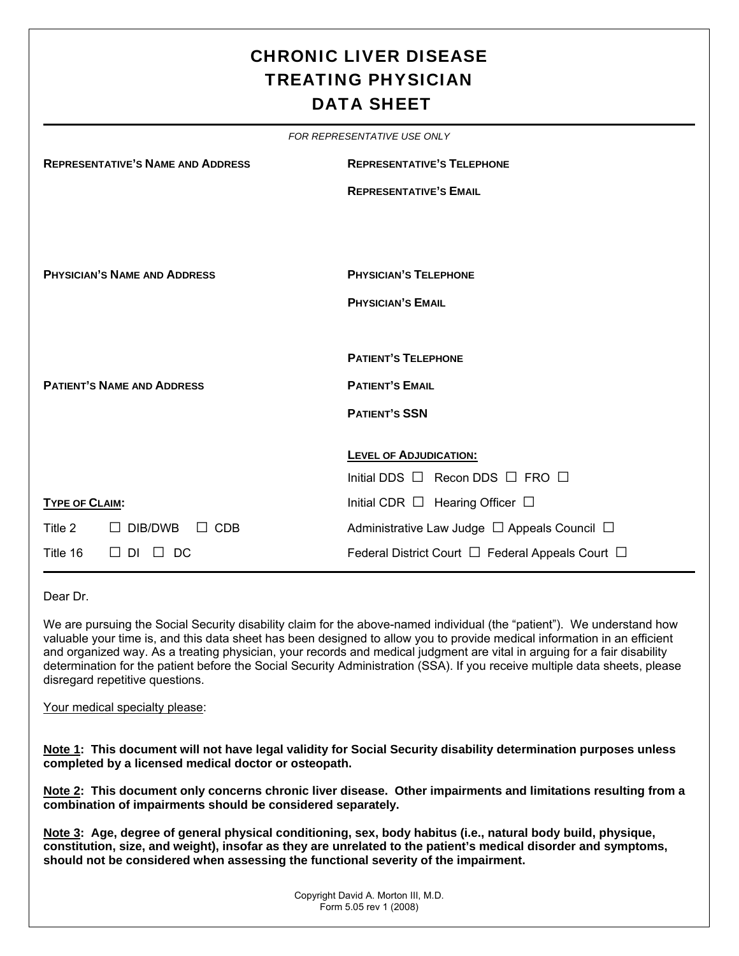# CHRONIC LIVER DISEASE TREATING PHYSICIAN DATA SHEET

|                       |                                          | FOR REPRESENTATIVE USE ONLY                            |  |  |  |  |  |  |
|-----------------------|------------------------------------------|--------------------------------------------------------|--|--|--|--|--|--|
|                       | <b>REPRESENTATIVE'S NAME AND ADDRESS</b> | <b>REPRESENTATIVE'S TELEPHONE</b>                      |  |  |  |  |  |  |
|                       |                                          | <b>REPRESENTATIVE'S EMAIL</b>                          |  |  |  |  |  |  |
|                       |                                          |                                                        |  |  |  |  |  |  |
|                       |                                          |                                                        |  |  |  |  |  |  |
|                       | <b>PHYSICIAN'S NAME AND ADDRESS</b>      | <b>PHYSICIAN'S TELEPHONE</b>                           |  |  |  |  |  |  |
|                       |                                          | <b>PHYSICIAN'S EMAIL</b>                               |  |  |  |  |  |  |
|                       |                                          |                                                        |  |  |  |  |  |  |
|                       |                                          | <b>PATIENT'S TELEPHONE</b>                             |  |  |  |  |  |  |
|                       | <b>PATIENT'S NAME AND ADDRESS</b>        | <b>PATIENT'S EMAIL</b>                                 |  |  |  |  |  |  |
|                       |                                          | <b>PATIENT'S SSN</b>                                   |  |  |  |  |  |  |
|                       |                                          |                                                        |  |  |  |  |  |  |
|                       |                                          | <b>LEVEL OF ADJUDICATION:</b>                          |  |  |  |  |  |  |
|                       |                                          | Initial DDS $\Box$ Recon DDS $\Box$ FRO $\Box$         |  |  |  |  |  |  |
| <b>TYPE OF CLAIM:</b> |                                          | Initial CDR $\Box$ Hearing Officer $\Box$              |  |  |  |  |  |  |
| Title 2               | $\Box$ DIB/DWB<br>$\Box$ CDB             | Administrative Law Judge $\Box$ Appeals Council $\Box$ |  |  |  |  |  |  |
| Title 16              | $\Box$ DI<br>DC.<br>$\perp$              | Federal District Court □ Federal Appeals Court □       |  |  |  |  |  |  |

Dear Dr.

We are pursuing the Social Security disability claim for the above-named individual (the "patient"). We understand how valuable your time is, and this data sheet has been designed to allow you to provide medical information in an efficient and organized way. As a treating physician, your records and medical judgment are vital in arguing for a fair disability determination for the patient before the Social Security Administration (SSA). If you receive multiple data sheets, please disregard repetitive questions.

#### Your medical specialty please:

**Note 1: This document will not have legal validity for Social Security disability determination purposes unless completed by a licensed medical doctor or osteopath.** 

**Note 2: This document only concerns chronic liver disease. Other impairments and limitations resulting from a combination of impairments should be considered separately.** 

**Note 3: Age, degree of general physical conditioning, sex, body habitus (i.e., natural body build, physique, constitution, size, and weight), insofar as they are unrelated to the patient's medical disorder and symptoms, should not be considered when assessing the functional severity of the impairment.**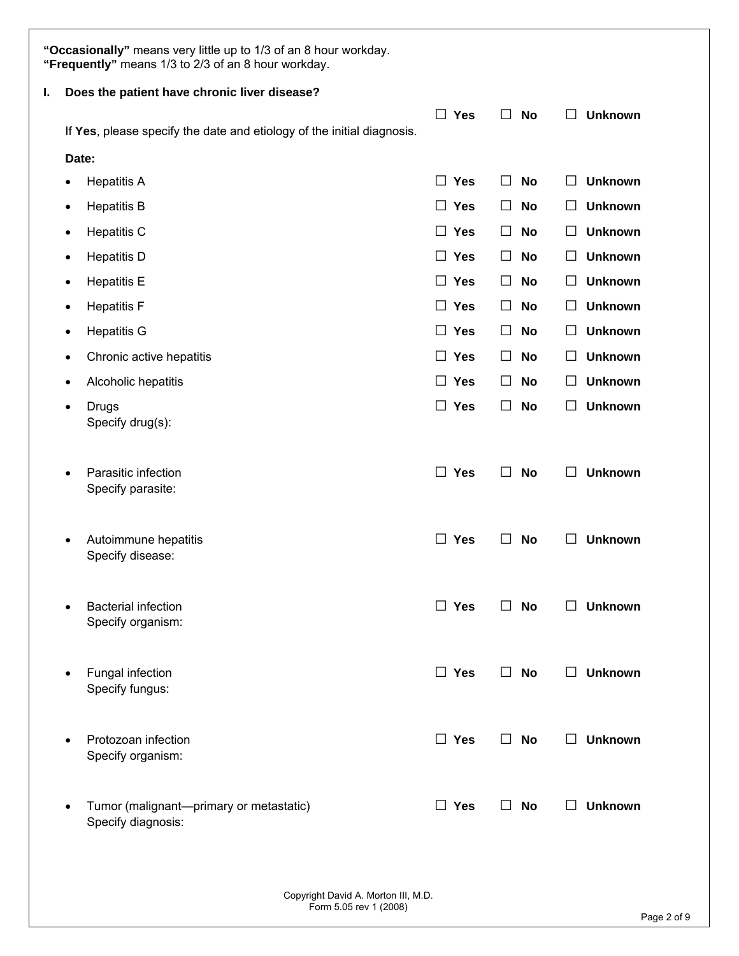|    | "Occasionally" means very little up to 1/3 of an 8 hour workday.<br>"Frequently" means 1/3 to 2/3 of an 8 hour workday. |                                                                        |                      |                      |                           |  |  |  |
|----|-------------------------------------------------------------------------------------------------------------------------|------------------------------------------------------------------------|----------------------|----------------------|---------------------------|--|--|--|
| I. |                                                                                                                         | Does the patient have chronic liver disease?                           |                      |                      |                           |  |  |  |
|    |                                                                                                                         | If Yes, please specify the date and etiology of the initial diagnosis. | $\Box$ Yes           | $\Box$<br><b>No</b>  | П<br><b>Unknown</b>       |  |  |  |
|    | Date:                                                                                                                   |                                                                        |                      |                      |                           |  |  |  |
|    | $\bullet$                                                                                                               | <b>Hepatitis A</b>                                                     | $\Box$ Yes           | □<br>No              | <b>Unknown</b><br>$\Box$  |  |  |  |
|    | ٠                                                                                                                       | <b>Hepatitis B</b>                                                     | $\Box$ Yes           | □<br>No              | <b>Unknown</b><br>$\Box$  |  |  |  |
|    | ٠                                                                                                                       | <b>Hepatitis C</b>                                                     | $\Box$ Yes           | $\perp$<br><b>No</b> | <b>Unknown</b><br>ΙI      |  |  |  |
|    | $\bullet$                                                                                                               | <b>Hepatitis D</b>                                                     | $\Box$<br><b>Yes</b> | □<br><b>No</b>       | <b>Unknown</b><br>ப       |  |  |  |
|    | ٠                                                                                                                       | <b>Hepatitis E</b>                                                     | $\Box$ Yes           | $\Box$<br><b>No</b>  | <b>Unknown</b><br>$\Box$  |  |  |  |
|    | $\bullet$                                                                                                               | <b>Hepatitis F</b>                                                     | $\Box$ Yes           | □<br><b>No</b>       | <b>Unknown</b><br>$\Box$  |  |  |  |
|    | ٠                                                                                                                       | <b>Hepatitis G</b>                                                     | $\Box$ Yes           | □<br><b>No</b>       | <b>Unknown</b><br>$\Box$  |  |  |  |
|    | $\bullet$                                                                                                               | Chronic active hepatitis                                               | $\Box$ Yes           | $\Box$<br>No         | <b>Unknown</b><br>$\Box$  |  |  |  |
|    | ٠                                                                                                                       | Alcoholic hepatitis                                                    | $\Box$ Yes           | □<br>No              | <b>Unknown</b><br>$\Box$  |  |  |  |
|    | ٠                                                                                                                       | <b>Drugs</b><br>Specify drug(s):                                       | $\Box$ Yes           | □<br><b>No</b>       | <b>Unknown</b><br>$\Box$  |  |  |  |
|    | $\bullet$                                                                                                               | Parasitic infection<br>Specify parasite:                               | П.<br><b>Yes</b>     | <b>No</b><br>$\Box$  | <b>Unknown</b><br>ΙI      |  |  |  |
|    | $\bullet$                                                                                                               | Autoimmune hepatitis<br>Specify disease:                               | $\Box$ Yes           | П<br>No              | <b>Unknown</b><br>$\perp$ |  |  |  |
|    |                                                                                                                         | <b>Bacterial infection</b><br>Specify organism:                        | $\Box$ Yes           | $\Box$<br><b>No</b>  | $\Box$ Unknown            |  |  |  |
|    |                                                                                                                         | Fungal infection<br>Specify fungus:                                    | $\Box$ Yes           | <b>No</b><br>$\Box$  | <b>Unknown</b><br>$\perp$ |  |  |  |
|    |                                                                                                                         | Protozoan infection<br>Specify organism:                               | $\Box$ Yes           | П.<br><b>No</b>      | $\Box$<br><b>Unknown</b>  |  |  |  |
|    |                                                                                                                         | Tumor (malignant-primary or metastatic)<br>Specify diagnosis:          | $\Box$ Yes           | П.<br><b>No</b>      | <b>Unknown</b><br>$\Box$  |  |  |  |
|    |                                                                                                                         |                                                                        |                      |                      |                           |  |  |  |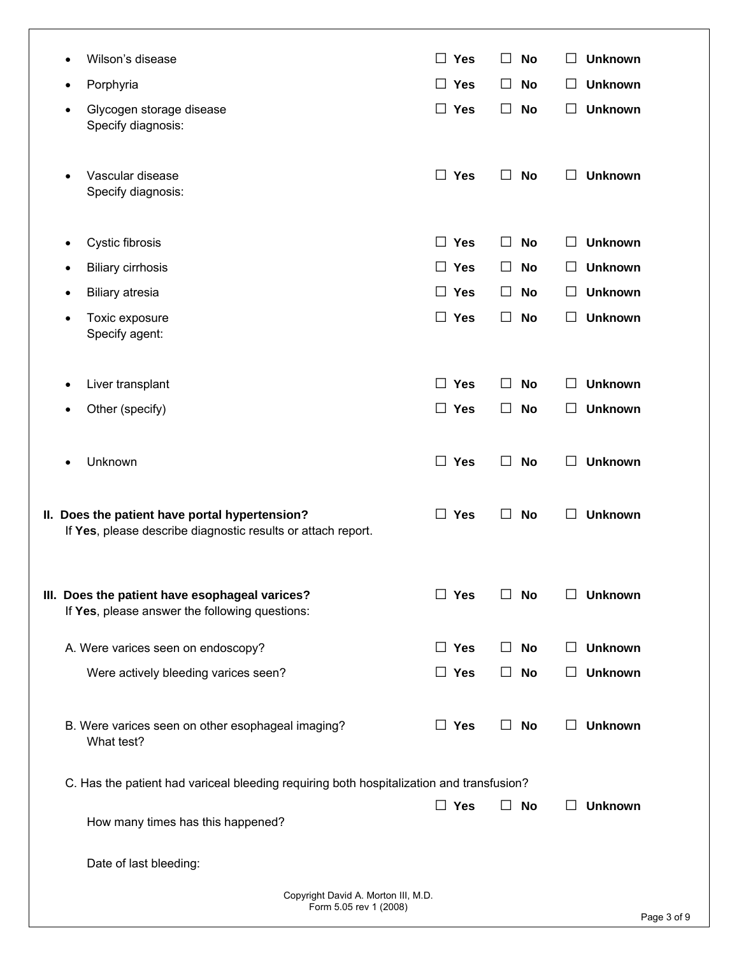| ٠         | Porphyria                                                                                                      | $\Box$ Yes            | <b>No</b><br>$\perp$ | <b>Unknown</b><br>⊔       |
|-----------|----------------------------------------------------------------------------------------------------------------|-----------------------|----------------------|---------------------------|
| $\bullet$ | Glycogen storage disease<br>Specify diagnosis:                                                                 | $\Box$ Yes            | <b>No</b><br>$\perp$ | <b>Unknown</b><br>$\Box$  |
| $\bullet$ | Vascular disease<br>Specify diagnosis:                                                                         | <b>Yes</b><br>$\Box$  | П<br><b>No</b>       | <b>Unknown</b>            |
| $\bullet$ | Cystic fibrosis                                                                                                | <b>Yes</b><br>$\Box$  | <b>No</b><br>$\perp$ | <b>Unknown</b><br>⊔       |
|           | <b>Biliary cirrhosis</b>                                                                                       | $\Box$ Yes            | <b>No</b><br>$\perp$ | <b>Unknown</b><br>⊔       |
| ٠         | <b>Biliary atresia</b>                                                                                         | <b>Yes</b><br>$\perp$ | No<br>$\perp$        | <b>Unknown</b><br>ப       |
| ٠         | Toxic exposure<br>Specify agent:                                                                               | $\Box$ Yes            | П<br><b>No</b>       | <b>Unknown</b><br>□       |
|           | Liver transplant                                                                                               | $\Box$ Yes            | <b>No</b><br>$\perp$ | <b>Unknown</b>            |
|           | Other (specify)                                                                                                | $\Box$<br><b>Yes</b>  | $\Box$<br>No         | <b>Unknown</b><br>⊔       |
|           | Unknown                                                                                                        | $\Box$ Yes            | $\Box$<br><b>No</b>  | <b>Unknown</b>            |
|           | II. Does the patient have portal hypertension?<br>If Yes, please describe diagnostic results or attach report. | $\Box$ Yes            | <b>No</b><br>$\perp$ | П<br><b>Unknown</b>       |
|           | III. Does the patient have esophageal varices?<br>If Yes, please answer the following questions:               | $\Box$ Yes            | No                   | <b>Unknown</b>            |
|           | A. Were varices seen on endoscopy?                                                                             | $\Box$ Yes            | No                   | <b>Unknown</b>            |
|           | Were actively bleeding varices seen?                                                                           | $\Box$ Yes            | <b>No</b>            | <b>Unknown</b>            |
|           | B. Were varices seen on other esophageal imaging?<br>What test?                                                | $\Box$ Yes            | No<br>$\perp$        | <b>Unknown</b><br>$\perp$ |
|           | C. Has the patient had variceal bleeding requiring both hospitalization and transfusion?                       |                       |                      |                           |
|           | How many times has this happened?                                                                              | $\Box$ Yes            | No                   | <b>Unknown</b>            |
|           | Date of last bleeding:                                                                                         |                       |                      |                           |
|           | Copyright David A. Morton III, M.D.                                                                            |                       |                      |                           |
|           | Form 5.05 rev 1 (2008)                                                                                         |                       |                      |                           |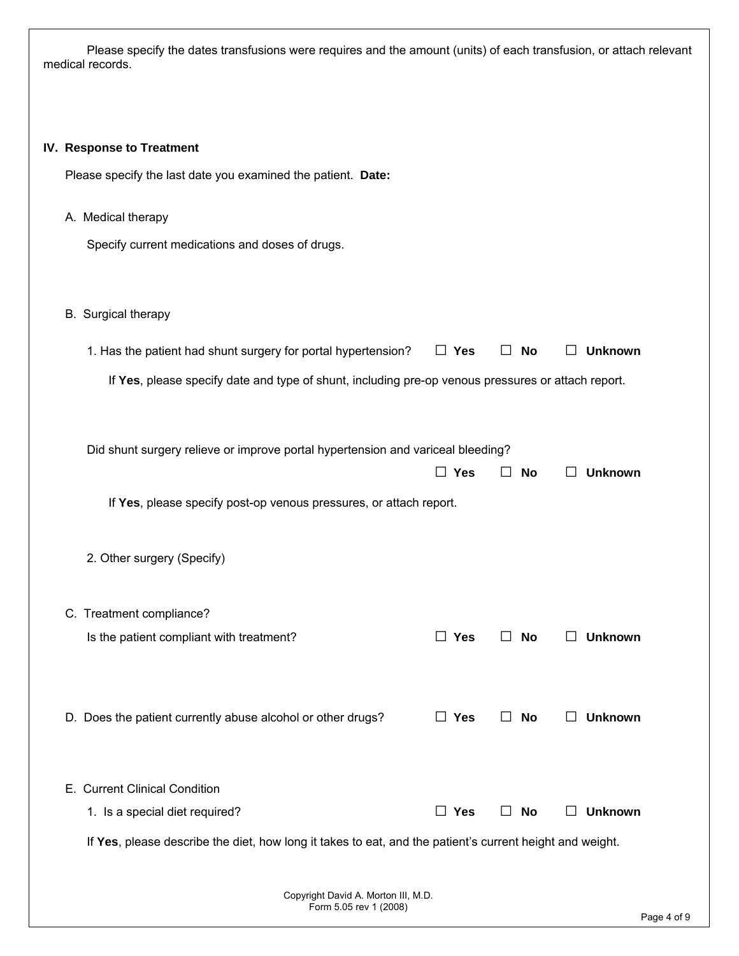Please specify the dates transfusions were requires and the amount (units) of each transfusion, or attach relevant medical records.

#### **IV. Response to Treatment**

Please specify the last date you examined the patient. **Date:**

A. Medical therapy

Specify current medications and doses of drugs.

### B. Surgical therapy

| 1. Has the patient had shunt surgery for portal hypertension? $\square$ Yes $\square$ No $\square$ Unknown |  |  |
|------------------------------------------------------------------------------------------------------------|--|--|
|                                                                                                            |  |  |

If **Yes**, please specify date and type of shunt, including pre-op venous pressures or attach report.

| Did shunt surgery relieve or improve portal hypertension and variceal bleeding?                          |            |                           |                |
|----------------------------------------------------------------------------------------------------------|------------|---------------------------|----------------|
|                                                                                                          | $\Box$ Yes | No                        | <b>Unknown</b> |
| If Yes, please specify post-op venous pressures, or attach report.                                       |            |                           |                |
| 2. Other surgery (Specify)                                                                               |            |                           |                |
| C. Treatment compliance?                                                                                 |            |                           |                |
| Is the patient compliant with treatment?                                                                 | $\Box$ Yes | No                        | <b>Unknown</b> |
| D. Does the patient currently abuse alcohol or other drugs?                                              | $\Box$ Yes | No<br>$\perp$             | <b>Unknown</b> |
| E. Current Clinical Condition                                                                            |            |                           |                |
| 1. Is a special diet required?                                                                           | $\Box$ Yes | <b>No</b><br>$\mathsf{L}$ | <b>Unknown</b> |
| If Yes, please describe the diet, how long it takes to eat, and the patient's current height and weight. |            |                           |                |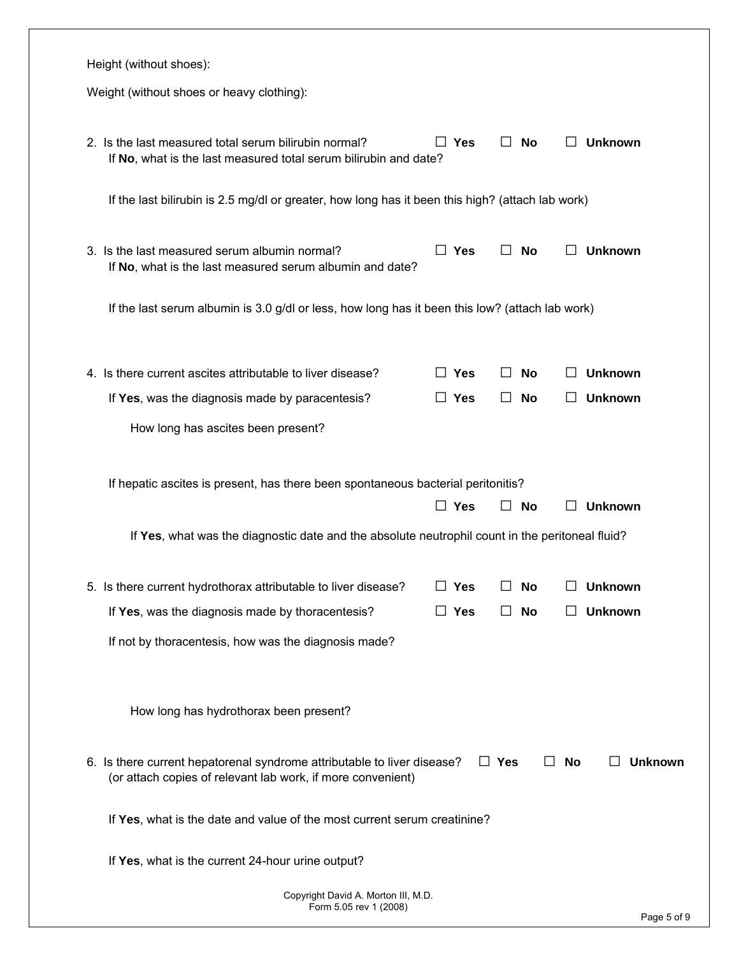| Weight (without shoes or heavy clothing):                                                                                              |    |            |              |           |              |                |
|----------------------------------------------------------------------------------------------------------------------------------------|----|------------|--------------|-----------|--------------|----------------|
|                                                                                                                                        |    |            |              |           |              |                |
| 2. Is the last measured total serum bilirubin normal?<br>If No, what is the last measured total serum bilirubin and date?              | ΙI | Yes        |              | <b>No</b> | $\mathsf{L}$ | <b>Unknown</b> |
| If the last bilirubin is 2.5 mg/dl or greater, how long has it been this high? (attach lab work)                                       |    |            |              |           |              |                |
| 3. Is the last measured serum albumin normal?<br>If No, what is the last measured serum albumin and date?                              |    | $\Box$ Yes |              | <b>No</b> | $\perp$      | <b>Unknown</b> |
| If the last serum albumin is 3.0 g/dl or less, how long has it been this low? (attach lab work)                                        |    |            |              |           |              |                |
| 4. Is there current ascites attributable to liver disease?                                                                             |    | $\Box$ Yes |              | No        | $\Box$       | <b>Unknown</b> |
| If Yes, was the diagnosis made by paracentesis?                                                                                        |    | $\Box$ Yes | $\perp$      | <b>No</b> | $\mathsf{L}$ | <b>Unknown</b> |
| How long has ascites been present?                                                                                                     |    |            |              |           |              |                |
| If hepatic ascites is present, has there been spontaneous bacterial peritonitis?                                                       |    |            |              |           |              |                |
|                                                                                                                                        |    | $\Box$ Yes | $\mathsf{L}$ | <b>No</b> |              | <b>Unknown</b> |
| If Yes, what was the diagnostic date and the absolute neutrophil count in the peritoneal fluid?                                        |    |            |              |           |              |                |
| 5. Is there current hydrothorax attributable to liver disease?                                                                         |    | $\Box$ Yes |              | <b>No</b> |              | <b>Unknown</b> |
| If Yes, was the diagnosis made by thoracentesis?                                                                                       |    | $\Box$ Yes |              | <b>No</b> |              | <b>Unknown</b> |
| If not by thoracentesis, how was the diagnosis made?                                                                                   |    |            |              |           |              |                |
|                                                                                                                                        |    |            |              |           |              |                |
| How long has hydrothorax been present?                                                                                                 |    |            |              |           |              |                |
| 6. Is there current hepatorenal syndrome attributable to liver disease?<br>(or attach copies of relevant lab work, if more convenient) |    |            | $\Box$ Yes   |           | $\Box$ No    |                |
| If Yes, what is the date and value of the most current serum creatinine?                                                               |    |            |              |           |              | <b>Unknown</b> |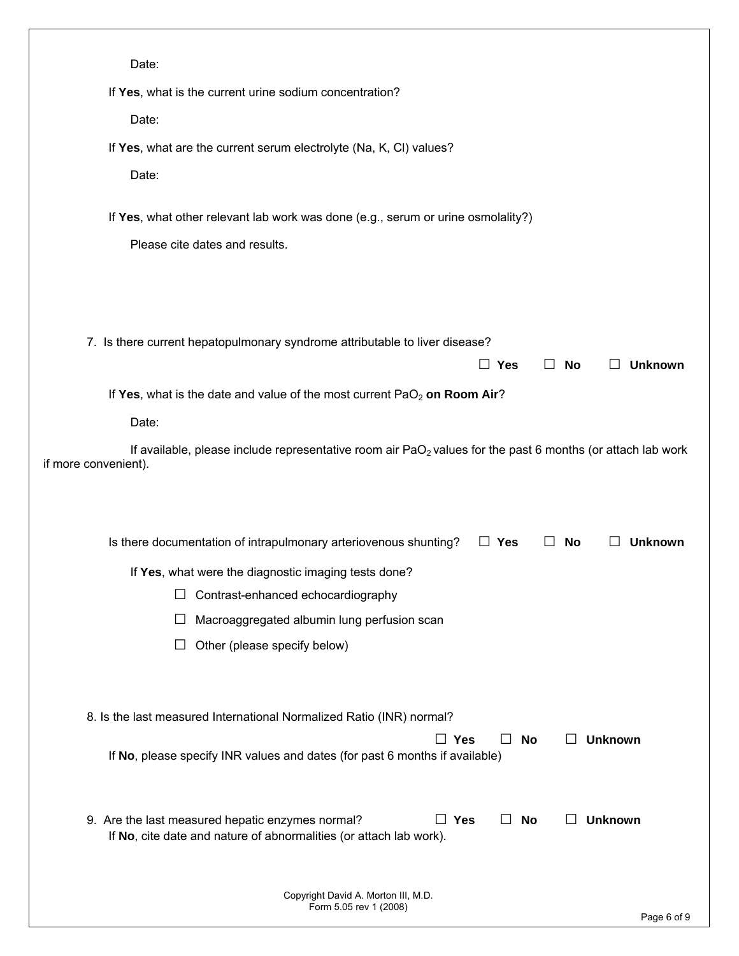| Date:                                                                                                                                                                                  |
|----------------------------------------------------------------------------------------------------------------------------------------------------------------------------------------|
| If Yes, what is the current urine sodium concentration?                                                                                                                                |
| Date:                                                                                                                                                                                  |
| If Yes, what are the current serum electrolyte (Na, K, CI) values?                                                                                                                     |
| Date:                                                                                                                                                                                  |
|                                                                                                                                                                                        |
| If Yes, what other relevant lab work was done (e.g., serum or urine osmolality?)                                                                                                       |
| Please cite dates and results.                                                                                                                                                         |
|                                                                                                                                                                                        |
|                                                                                                                                                                                        |
| 7. Is there current hepatopulmonary syndrome attributable to liver disease?                                                                                                            |
| $\Box$ Yes<br><b>No</b><br><b>Unknown</b><br>$\perp$<br>$\perp$                                                                                                                        |
| If Yes, what is the date and value of the most current PaO <sub>2</sub> on Room Air?                                                                                                   |
| Date:                                                                                                                                                                                  |
| If available, please include representative room air PaO <sub>2</sub> values for the past 6 months (or attach lab work<br>if more convenient).                                         |
|                                                                                                                                                                                        |
|                                                                                                                                                                                        |
| Is there documentation of intrapulmonary arteriovenous shunting?<br>$\Box$ Yes<br>No<br>Unknown<br>$\perp$<br>$\perp$                                                                  |
| If Yes, what were the diagnostic imaging tests done?                                                                                                                                   |
| Contrast-enhanced echocardiography                                                                                                                                                     |
| Macroaggregated albumin lung perfusion scan                                                                                                                                            |
| Other (please specify below)                                                                                                                                                           |
|                                                                                                                                                                                        |
| 8. Is the last measured International Normalized Ratio (INR) normal?                                                                                                                   |
| $\Box$ Yes<br><b>Unknown</b><br>No<br>$\perp$<br>$\Box$                                                                                                                                |
| If No, please specify INR values and dates (for past 6 months if available)                                                                                                            |
|                                                                                                                                                                                        |
| $\Box$ Yes<br><b>Unknown</b><br>9. Are the last measured hepatic enzymes normal?<br>No<br>$\mathsf{L}$<br>$\Box$<br>If No, cite date and nature of abnormalities (or attach lab work). |
|                                                                                                                                                                                        |
|                                                                                                                                                                                        |
| Copyright David A. Morton III, M.D.<br>Form 5.05 rev 1 (2008)<br>Page 6 of 9                                                                                                           |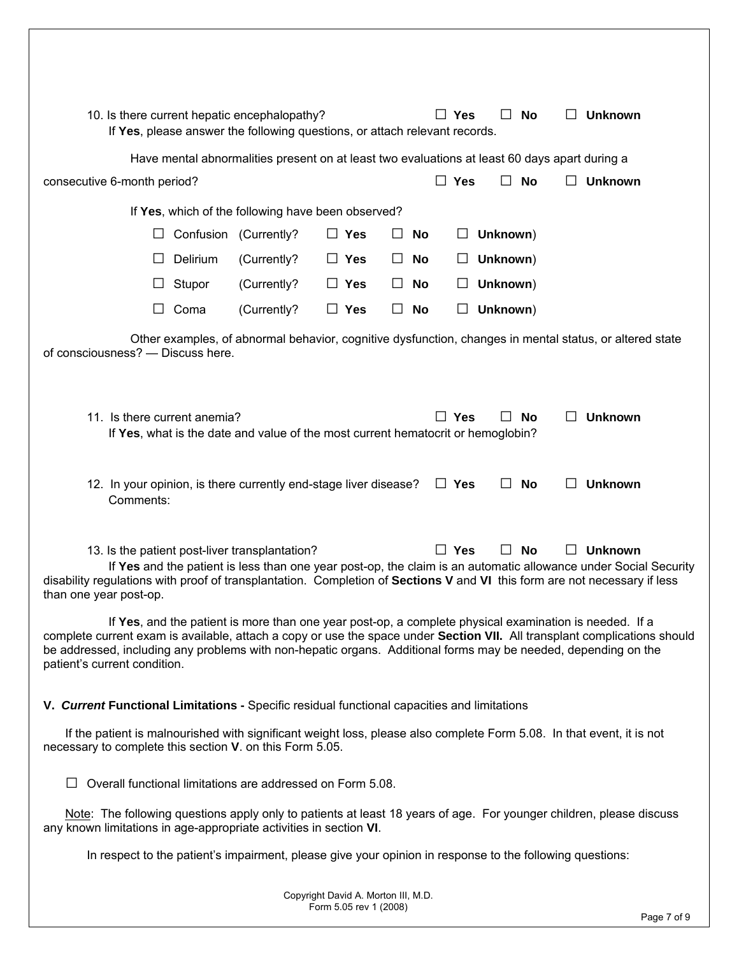| 10. Is there current hepatic encephalopathy?                                                                                                                                                                                                                                |           | If Yes, please answer the following questions, or attach relevant records.                             |                                     |         |           |            | $\Box$ Yes | $\perp$  | No        | $\mathsf{L}$      | <b>Unknown</b>                                                                                                                    |
|-----------------------------------------------------------------------------------------------------------------------------------------------------------------------------------------------------------------------------------------------------------------------------|-----------|--------------------------------------------------------------------------------------------------------|-------------------------------------|---------|-----------|------------|------------|----------|-----------|-------------------|-----------------------------------------------------------------------------------------------------------------------------------|
|                                                                                                                                                                                                                                                                             |           | Have mental abnormalities present on at least two evaluations at least 60 days apart during a          |                                     |         |           |            |            |          |           |                   |                                                                                                                                   |
| consecutive 6-month period?                                                                                                                                                                                                                                                 |           |                                                                                                        |                                     |         |           |            | <b>Yes</b> |          | No        |                   | <b>Unknown</b>                                                                                                                    |
|                                                                                                                                                                                                                                                                             |           | If Yes, which of the following have been observed?                                                     |                                     |         |           |            |            |          |           |                   |                                                                                                                                   |
|                                                                                                                                                                                                                                                                             | Confusion | (Currently?                                                                                            | $\Box$ Yes                          | $\perp$ | <b>No</b> |            |            | Unknown) |           |                   |                                                                                                                                   |
|                                                                                                                                                                                                                                                                             | Delirium  | (Currently?                                                                                            | $\Box$ Yes                          | ⊔       | <b>No</b> |            | ⊔          | Unknown) |           |                   |                                                                                                                                   |
|                                                                                                                                                                                                                                                                             | Stupor    | (Currently?                                                                                            | $\Box$ Yes                          | ப       | No        |            |            | Unknown) |           |                   |                                                                                                                                   |
|                                                                                                                                                                                                                                                                             | Coma      | (Currently?                                                                                            | $\Box$ Yes                          | ⊔       | <b>No</b> |            |            | Unknown) |           |                   |                                                                                                                                   |
| of consciousness? - Discuss here.                                                                                                                                                                                                                                           |           |                                                                                                        |                                     |         |           |            |            |          |           |                   | Other examples, of abnormal behavior, cognitive dysfunction, changes in mental status, or altered state                           |
| 11. Is there current anemia?                                                                                                                                                                                                                                                |           | If Yes, what is the date and value of the most current hematocrit or hemoglobin?                       |                                     |         |           |            | $\Box$ Yes | $\perp$  | <b>No</b> | $\Box$            | <b>Unknown</b>                                                                                                                    |
| 12. In your opinion, is there currently end-stage liver disease?<br>Comments:                                                                                                                                                                                               |           |                                                                                                        |                                     |         |           | $\Box$ Yes |            | $\Box$   | No        | $\Box$            | <b>Unknown</b>                                                                                                                    |
| 13. Is the patient post-liver transplantation?<br>disability regulations with proof of transplantation. Completion of Sections V and VI this form are not necessary if less<br>than one year post-op.                                                                       |           |                                                                                                        |                                     |         |           |            | $\Box$ Yes |          | <b>No</b> | $\vert \ \ \vert$ | <b>Unknown</b><br>If Yes and the patient is less than one year post-op, the claim is an automatic allowance under Social Security |
| complete current exam is available, attach a copy or use the space under Section VII. All transplant complications should<br>be addressed, including any problems with non-hepatic organs. Additional forms may be needed, depending on the<br>patient's current condition. |           | If Yes, and the patient is more than one year post-op, a complete physical examination is needed. If a |                                     |         |           |            |            |          |           |                   |                                                                                                                                   |
| V. Current Functional Limitations - Specific residual functional capacities and limitations                                                                                                                                                                                 |           |                                                                                                        |                                     |         |           |            |            |          |           |                   |                                                                                                                                   |
| If the patient is malnourished with significant weight loss, please also complete Form 5.08. In that event, it is not<br>necessary to complete this section V. on this Form 5.05.                                                                                           |           |                                                                                                        |                                     |         |           |            |            |          |           |                   |                                                                                                                                   |
| Overall functional limitations are addressed on Form 5.08.                                                                                                                                                                                                                  |           |                                                                                                        |                                     |         |           |            |            |          |           |                   |                                                                                                                                   |
| Note: The following questions apply only to patients at least 18 years of age. For younger children, please discuss<br>any known limitations in age-appropriate activities in section VI.                                                                                   |           |                                                                                                        |                                     |         |           |            |            |          |           |                   |                                                                                                                                   |
| In respect to the patient's impairment, please give your opinion in response to the following questions:                                                                                                                                                                    |           |                                                                                                        |                                     |         |           |            |            |          |           |                   |                                                                                                                                   |
|                                                                                                                                                                                                                                                                             |           |                                                                                                        | Copyright David A. Morton III, M.D. |         |           |            |            |          |           |                   |                                                                                                                                   |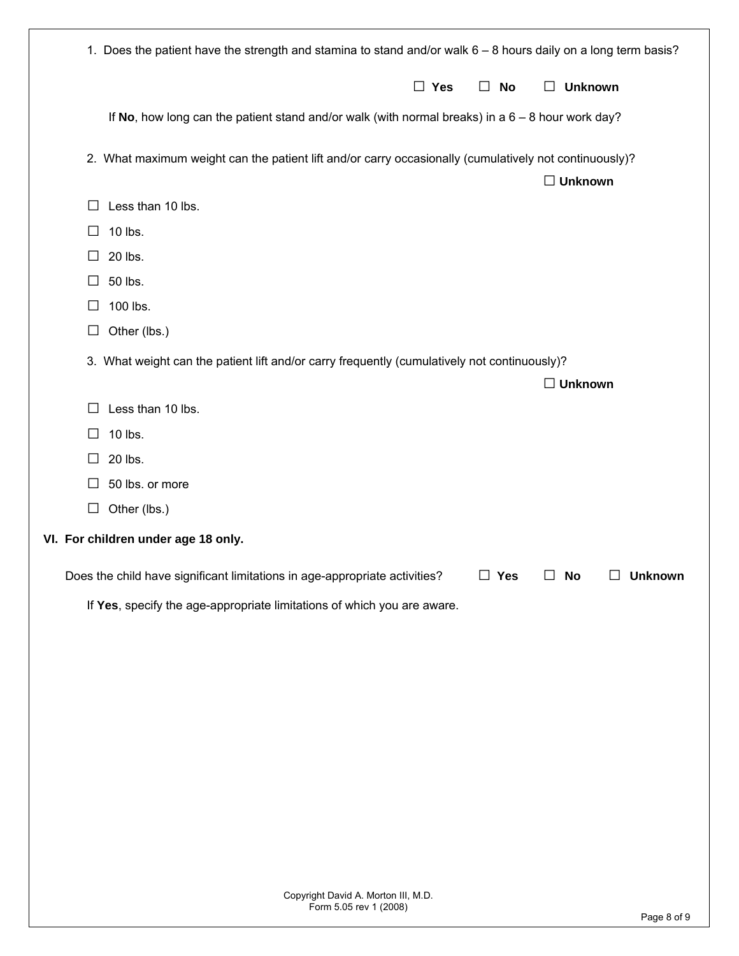|  |        | 1. Does the patient have the strength and stamina to stand and/or walk 6 - 8 hours daily on a long term basis?           |
|--|--------|--------------------------------------------------------------------------------------------------------------------------|
|  |        | $\Box$ Yes<br><b>Unknown</b><br>$\Box$ No<br>$\Box$                                                                      |
|  |        | If No, how long can the patient stand and/or walk (with normal breaks) in a $6 - 8$ hour work day?                       |
|  |        | 2. What maximum weight can the patient lift and/or carry occasionally (cumulatively not continuously)?<br>$\Box$ Unknown |
|  | $\Box$ | Less than 10 lbs.                                                                                                        |
|  | ⊔      | 10 lbs.                                                                                                                  |
|  | $\Box$ | 20 lbs.                                                                                                                  |
|  | $\Box$ | 50 lbs.                                                                                                                  |
|  | □      | 100 lbs.                                                                                                                 |
|  | $\Box$ | Other (lbs.)                                                                                                             |
|  |        | 3. What weight can the patient lift and/or carry frequently (cumulatively not continuously)?                             |
|  |        | $\Box$ Unknown                                                                                                           |
|  | $\Box$ | Less than 10 lbs.                                                                                                        |
|  | ப      | 10 lbs.                                                                                                                  |
|  | $\Box$ | 20 lbs.                                                                                                                  |
|  | $\Box$ | 50 lbs. or more                                                                                                          |
|  | $\Box$ | Other (lbs.)                                                                                                             |
|  |        | VI. For children under age 18 only.                                                                                      |
|  |        | $\Box$ Yes<br>$\Box$ No<br>$\Box$ Unknown                                                                                |
|  |        | Does the child have significant limitations in age-appropriate activities?                                               |
|  |        | If Yes, specify the age-appropriate limitations of which you are aware.                                                  |
|  |        |                                                                                                                          |
|  |        |                                                                                                                          |
|  |        |                                                                                                                          |
|  |        |                                                                                                                          |
|  |        |                                                                                                                          |
|  |        |                                                                                                                          |
|  |        |                                                                                                                          |
|  |        |                                                                                                                          |
|  |        |                                                                                                                          |
|  |        |                                                                                                                          |
|  |        |                                                                                                                          |